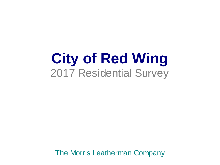**City of Red Wing** 2017 Residential Survey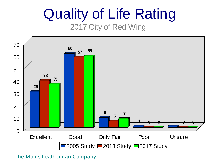## Quality of Life Rating 2017 City of Red Wing

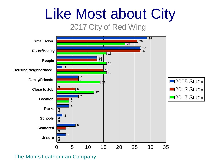## Like Most about City

### 2017 City of Red Wing

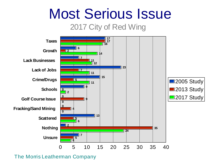## Most Serious Issue

### 2017 City of Red Wing

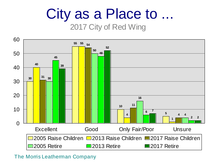## City as a Place to ...

### 2017 City of Red Wing

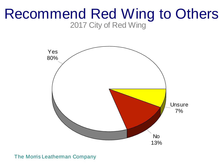### Recommend Red Wing to Others 2017 City of Red Wing

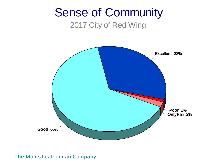### Sense of Community 2017 City of Red Wing

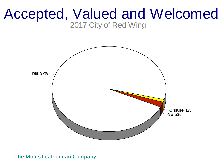### Accepted, Valued and Welcomed 2017 City of Red Wing

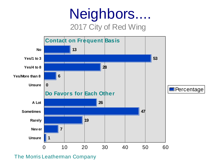## Neighbors.... 2017 City of Red Wing

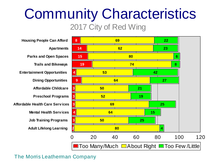## Community Characteristics 2017 City of Red Wing

**Housing People Can Afford Apartments Parks and Open Spaces Trails and Bikeways Entertainment Opportunities Dining Opportunities Affordable Childcare Preschool Programs Affordable Health Care Serv ices Preschool Programs<br>e Health Care Serv ices<br>Mental Health Serv ices Job Training Programs Adult Lifelong Learning**

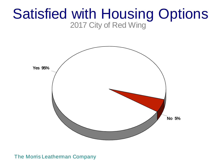### Satisfied with Housing Options 2017 City of Red Wing

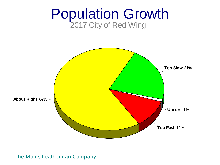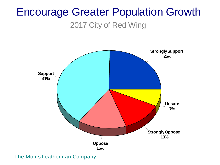# Encourage Greater Population Growth

### 2017 City of Red Wing

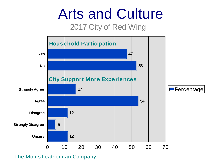# Arts and Culture

### 2017 City of Red Wing



The Morris Leatherman Company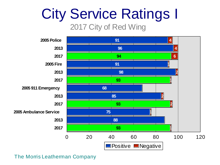# City Service Ratings I

### 2017 City of Red Wing

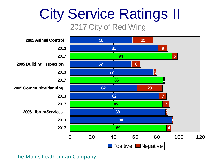# City Service Ratings II

2017 City of Red Wing

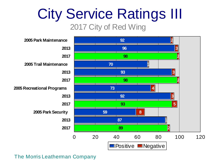## City Service Ratings III 2017 City of Red Wing

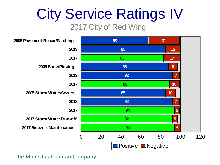# City Service Ratings IV

2017 City of Red Wing

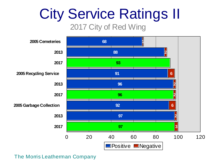# City Service Ratings II

2017 City of Red Wing

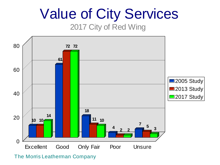## Value of City Services 2017 City of Red Wing

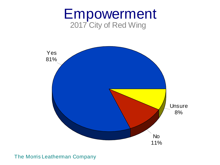### Empowerment 2017 City of Red Wing

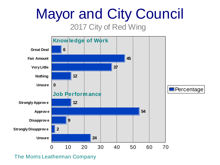## Mayor and City Council 2017 City of Red Wing

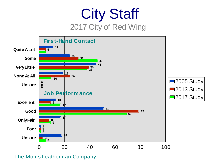## City Staff 2017 City of Red Wing

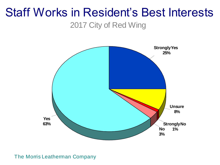# Staff Works in Resident's Best Interests

2017 City of Red Wing

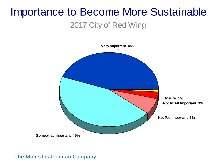## Importance to Become More Sustainable

### 2017 City of Red Wing

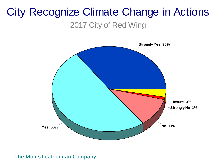### City Recognize Climate Change in Actions 2017 City of Red Wing

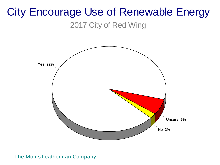### City Encourage Use of Renewable Energy 2017 City of Red Wing

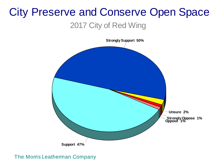### City Preserve and Conserve Open Space 2017 City of Red Wing

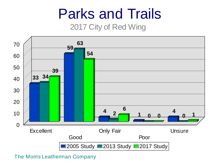## Parks and Trails

### 2017 City of Red Wing

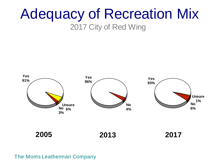## Adequacy of Recreation Mix 2017 City of Red Wing

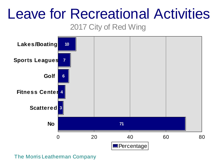## Leave for Recreational Activities

### 2017 City of Red Wing

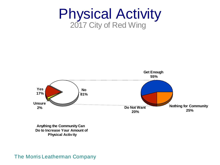



**Anything the Community Can Do to Increase Your Amount of ng the Community<br>Icrease Your Ame<br>Physical Activ ity**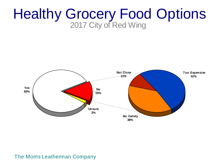### Healthy Grocery Food Options 2017 City of Red Wing

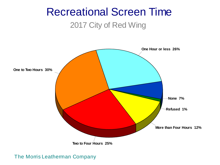### Recreational Screen Time 2017 City of Red Wing

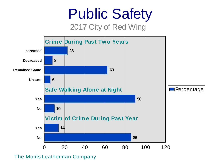## Public Safety 2017 City of Red Wing



The Morris Leatherman Company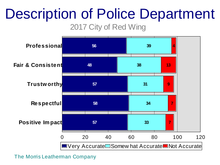# Description of Police Department

2017 City of Red Wing

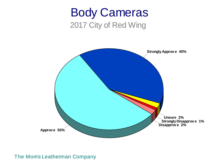### Body Cameras 2017 City of Red Wing

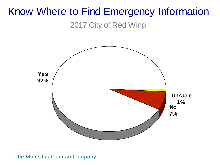## Know Where to Find Emergency Information

2017 City of Red Wing

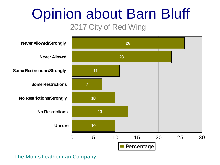# Opinion about Barn Bluff

### 2017 City of Red Wing

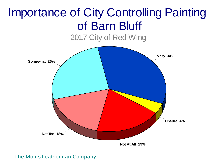## Importance of City Controlling Painting of Barn Bluff

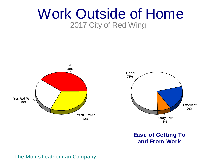### Work Outside of Home 2017 City of Red Wing



# **Ease of Getting To**  <sup>Only Fair</sup><br><sup>8%</sup><br>and From Work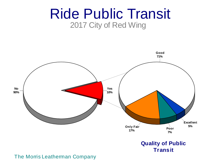### Ride Public Transit 2017 City of Red Wing



### **Quality of Public Transit**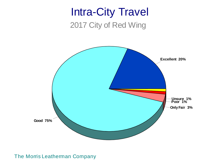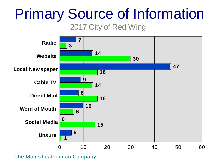# Primary Source of Information

### 2017 City of Red Wing

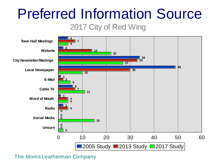# Preferred Information Source

2017 City of Red Wing

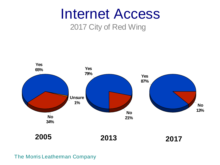## Internet Access

### 2017 City of Red Wing